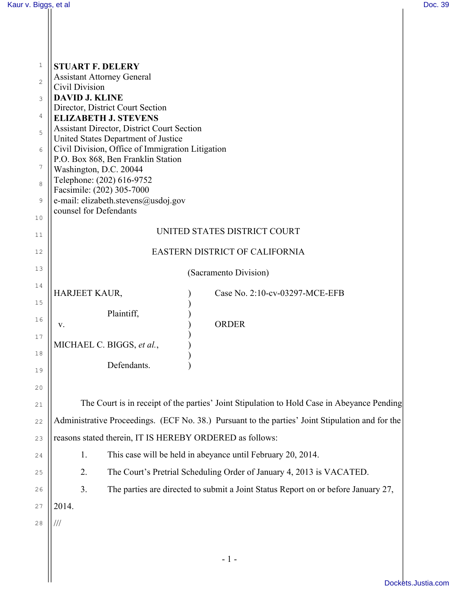$\parallel$ 

| $\mathbf 1$    | <b>STUART F. DELERY</b>                                                                          |  |
|----------------|--------------------------------------------------------------------------------------------------|--|
| $\overline{c}$ | <b>Assistant Attorney General</b>                                                                |  |
| 3              | Civil Division<br><b>DAVID J. KLINE</b>                                                          |  |
| $\overline{4}$ | Director, District Court Section                                                                 |  |
|                | <b>ELIZABETH J. STEVENS</b><br><b>Assistant Director, District Court Section</b>                 |  |
| 5              | United States Department of Justice                                                              |  |
| 6              | Civil Division, Office of Immigration Litigation<br>P.O. Box 868, Ben Franklin Station           |  |
| $\overline{7}$ | Washington, D.C. 20044                                                                           |  |
| 8              | Telephone: (202) 616-9752<br>Facsimile: (202) 305-7000                                           |  |
| 9              | e-mail: elizabeth.stevens@usdoj.gov                                                              |  |
| 10             | counsel for Defendants                                                                           |  |
| 11             | UNITED STATES DISTRICT COURT                                                                     |  |
| 12             | EASTERN DISTRICT OF CALIFORNIA                                                                   |  |
| 13             | (Sacramento Division)                                                                            |  |
| 14             | HARJEET KAUR,<br>Case No. 2:10-cv-03297-MCE-EFB                                                  |  |
| 15             |                                                                                                  |  |
| 16             | Plaintiff,<br><b>ORDER</b><br>V.                                                                 |  |
| 17             |                                                                                                  |  |
| 18             | MICHAEL C. BIGGS, et al.,                                                                        |  |
| 19             | Defendants.                                                                                      |  |
| 20             |                                                                                                  |  |
| 21             | The Court is in receipt of the parties' Joint Stipulation to Hold Case in Abeyance Pending       |  |
| 22             | Administrative Proceedings. (ECF No. 38.) Pursuant to the parties' Joint Stipulation and for the |  |
| 23             | reasons stated therein, IT IS HEREBY ORDERED as follows:                                         |  |
| 24             | This case will be held in abeyance until February 20, 2014.<br>1.                                |  |
| 25             | The Court's Pretrial Scheduling Order of January 4, 2013 is VACATED.<br>2.                       |  |
| 26             | The parties are directed to submit a Joint Status Report on or before January 27,<br>3.          |  |
| 27             | 2014.                                                                                            |  |
| 28             | ///                                                                                              |  |
|                |                                                                                                  |  |
|                | $-1-$                                                                                            |  |